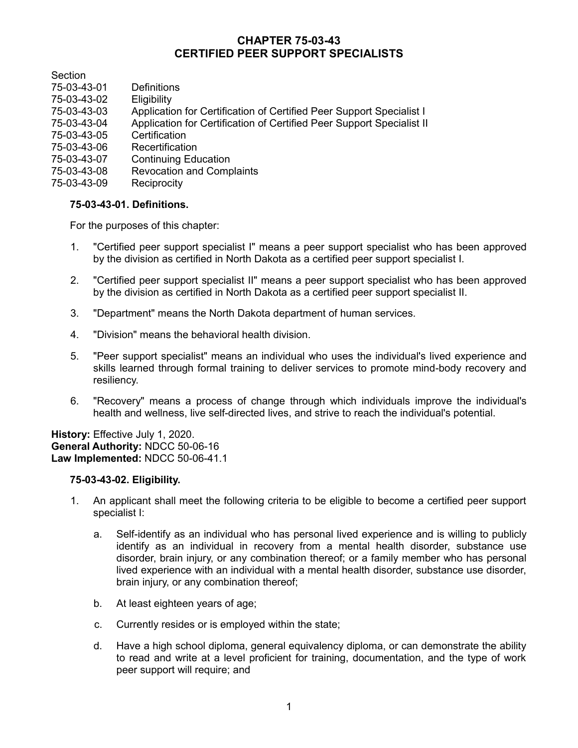# **CHAPTER 75-03-43 CERTIFIED PEER SUPPORT SPECIALISTS**

**Section** 

- 75-03-43-01 Definitions
- 75-03-43-02 Eligibility
- 75-03-43-03 Application for Certification of Certified Peer Support Specialist I
- 75-03-43-04 Application for Certification of Certified Peer Support Specialist II
- 75-03-43-05 Certification
- 75-03-43-06 Recertification
- 75-03-43-07 Continuing Education
- 75-03-43-08 Revocation and Complaints
- 75-03-43-09 Reciprocity

### **75-03-43-01. Definitions.**

For the purposes of this chapter:

- 1. "Certified peer support specialist I" means a peer support specialist who has been approved by the division as certified in North Dakota as a certified peer support specialist I.
- 2. "Certified peer support specialist II" means a peer support specialist who has been approved by the division as certified in North Dakota as a certified peer support specialist II.
- 3. "Department" means the North Dakota department of human services.
- 4. "Division" means the behavioral health division.
- 5. "Peer support specialist" means an individual who uses the individual's lived experience and skills learned through formal training to deliver services to promote mind-body recovery and resiliency.
- 6. "Recovery" means a process of change through which individuals improve the individual's health and wellness, live self-directed lives, and strive to reach the individual's potential.

**History:** Effective July 1, 2020. **General Authority:** NDCC 50-06-16 **Law Implemented:** NDCC 50-06-41.1

### **75-03-43-02. Eligibility.**

- 1. An applicant shall meet the following criteria to be eligible to become a certified peer support specialist I:
	- a. Self-identify as an individual who has personal lived experience and is willing to publicly identify as an individual in recovery from a mental health disorder, substance use disorder, brain injury, or any combination thereof; or a family member who has personal lived experience with an individual with a mental health disorder, substance use disorder, brain injury, or any combination thereof;
	- b. At least eighteen years of age;
	- c. Currently resides or is employed within the state;
	- d. Have a high school diploma, general equivalency diploma, or can demonstrate the ability to read and write at a level proficient for training, documentation, and the type of work peer support will require; and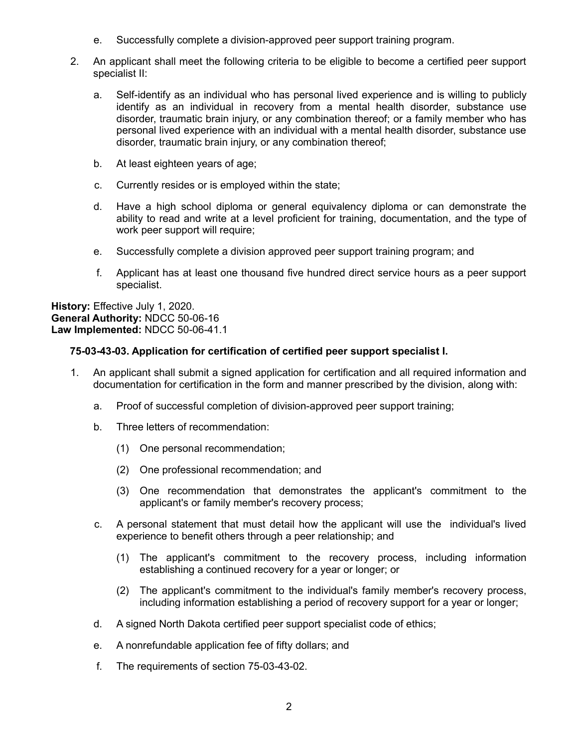- e. Successfully complete a division-approved peer support training program.
- 2. An applicant shall meet the following criteria to be eligible to become a certified peer support specialist II:
	- a. Self-identify as an individual who has personal lived experience and is willing to publicly identify as an individual in recovery from a mental health disorder, substance use disorder, traumatic brain injury, or any combination thereof; or a family member who has personal lived experience with an individual with a mental health disorder, substance use disorder, traumatic brain injury, or any combination thereof;
	- b. At least eighteen years of age;
	- c. Currently resides or is employed within the state;
	- d. Have a high school diploma or general equivalency diploma or can demonstrate the ability to read and write at a level proficient for training, documentation, and the type of work peer support will require:
	- e. Successfully complete a division approved peer support training program; and
	- f. Applicant has at least one thousand five hundred direct service hours as a peer support specialist.

**History:** Effective July 1, 2020. **General Authority:** NDCC 50-06-16 **Law Implemented:** NDCC 50-06-41.1

## **75-03-43-03. Application for certification of certified peer support specialist I.**

- 1. An applicant shall submit a signed application for certification and all required information and documentation for certification in the form and manner prescribed by the division, along with:
	- a. Proof of successful completion of division-approved peer support training;
	- b. Three letters of recommendation:
		- (1) One personal recommendation;
		- (2) One professional recommendation; and
		- (3) One recommendation that demonstrates the applicant's commitment to the applicant's or family member's recovery process;
	- c. A personal statement that must detail how the applicant will use the individual's lived experience to benefit others through a peer relationship; and
		- (1) The applicant's commitment to the recovery process, including information establishing a continued recovery for a year or longer; or
		- (2) The applicant's commitment to the individual's family member's recovery process, including information establishing a period of recovery support for a year or longer;
	- d. A signed North Dakota certified peer support specialist code of ethics;
	- e. A nonrefundable application fee of fifty dollars; and
	- f. The requirements of section 75-03-43-02.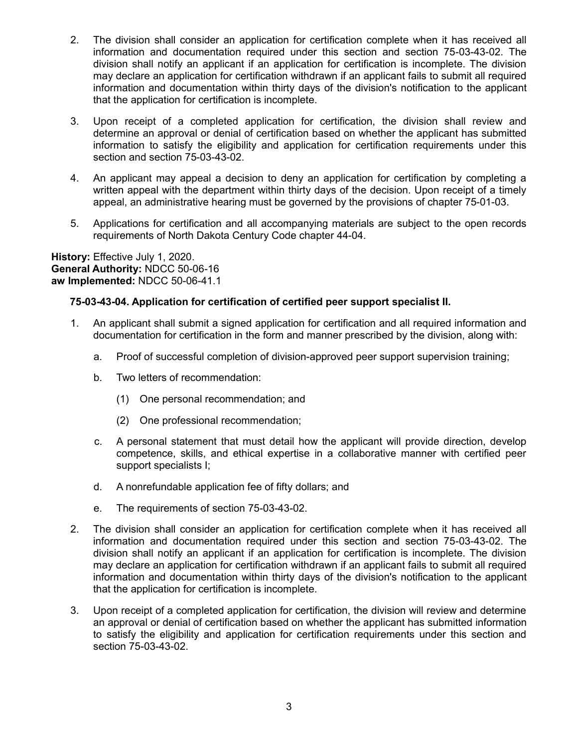- 2. The division shall consider an application for certification complete when it has received all information and documentation required under this section and section 75-03-43-02. The division shall notify an applicant if an application for certification is incomplete. The division may declare an application for certification withdrawn if an applicant fails to submit all required information and documentation within thirty days of the division's notification to the applicant that the application for certification is incomplete.
- 3. Upon receipt of a completed application for certification, the division shall review and determine an approval or denial of certification based on whether the applicant has submitted information to satisfy the eligibility and application for certification requirements under this section and section 75-03-43-02.
- 4. An applicant may appeal a decision to deny an application for certification by completing a written appeal with the department within thirty days of the decision. Upon receipt of a timely appeal, an administrative hearing must be governed by the provisions of chapter 75-01-03.
- 5. Applications for certification and all accompanying materials are subject to the open records requirements of North Dakota Century Code chapter 44-04.

**History:** Effective July 1, 2020. **General Authority:** NDCC 50-06-16 **aw Implemented:** NDCC 50-06-41.1

### **75-03-43-04. Application for certification of certified peer support specialist II.**

- 1. An applicant shall submit a signed application for certification and all required information and documentation for certification in the form and manner prescribed by the division, along with:
	- a. Proof of successful completion of division-approved peer support supervision training;
	- b. Two letters of recommendation:
		- (1) One personal recommendation; and
		- (2) One professional recommendation;
	- c. A personal statement that must detail how the applicant will provide direction, develop competence, skills, and ethical expertise in a collaborative manner with certified peer support specialists I;
	- d. A nonrefundable application fee of fifty dollars; and
	- e. The requirements of section 75-03-43-02.
- 2. The division shall consider an application for certification complete when it has received all information and documentation required under this section and section 75-03-43-02. The division shall notify an applicant if an application for certification is incomplete. The division may declare an application for certification withdrawn if an applicant fails to submit all required information and documentation within thirty days of the division's notification to the applicant that the application for certification is incomplete.
- 3. Upon receipt of a completed application for certification, the division will review and determine an approval or denial of certification based on whether the applicant has submitted information to satisfy the eligibility and application for certification requirements under this section and section 75-03-43-02.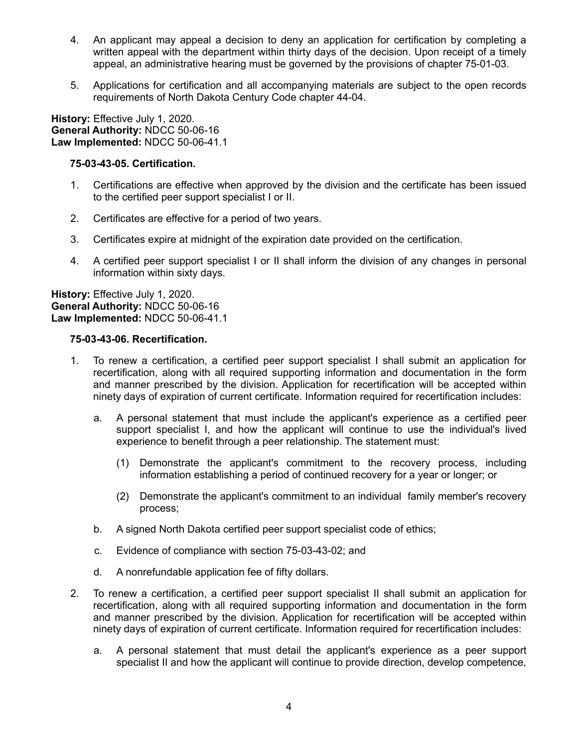- 4. An applicant may appeal a decision to deny an application for certification by completing a written appeal with the department within thirty days of the decision. Upon receipt of a timely appeal, an administrative hearing must be governed by the provisions of chapter 75-01-03.
- 5. Applications for certification and all accompanying materials are subject to the open records requirements of North Dakota Century Code chapter 44-04.

**History:** Effective July 1, 2020. **General Authority:** NDCC 50-06-16 **Law Implemented:** NDCC 50-06-41.1

#### **75-03-43-05. Certification.**

- 1. Certifications are effective when approved by the division and the certificate has been issued to the certified peer support specialist I or II.
- 2. Certificates are effective for a period of two years.
- 3. Certificates expire at midnight of the expiration date provided on the certification.
- 4. A certified peer support specialist I or II shall inform the division of any changes in personal information within sixty days.

**History:** Effective July 1, 2020. **General Authority:** NDCC 50-06-16 **Law Implemented:** NDCC 50-06-41.1

#### **75-03-43-06. Recertification.**

- 1. To renew a certification, a certified peer support specialist I shall submit an application for recertification, along with all required supporting information and documentation in the form and manner prescribed by the division. Application for recertification will be accepted within ninety days of expiration of current certificate. Information required for recertification includes:
	- a. A personal statement that must include the applicant's experience as a certified peer support specialist I, and how the applicant will continue to use the individual's lived experience to benefit through a peer relationship. The statement must:
		- (1) Demonstrate the applicant's commitment to the recovery process, including information establishing a period of continued recovery for a year or longer; or
		- (2) Demonstrate the applicant's commitment to an individual family member's recovery process;
	- b. A signed North Dakota certified peer support specialist code of ethics;
	- c. Evidence of compliance with section 75-03-43-02; and
	- d. A nonrefundable application fee of fifty dollars.
- 2. To renew a certification, a certified peer support specialist II shall submit an application for recertification, along with all required supporting information and documentation in the form and manner prescribed by the division. Application for recertification will be accepted within ninety days of expiration of current certificate. Information required for recertification includes:
	- a. A personal statement that must detail the applicant's experience as a peer support specialist II and how the applicant will continue to provide direction, develop competence,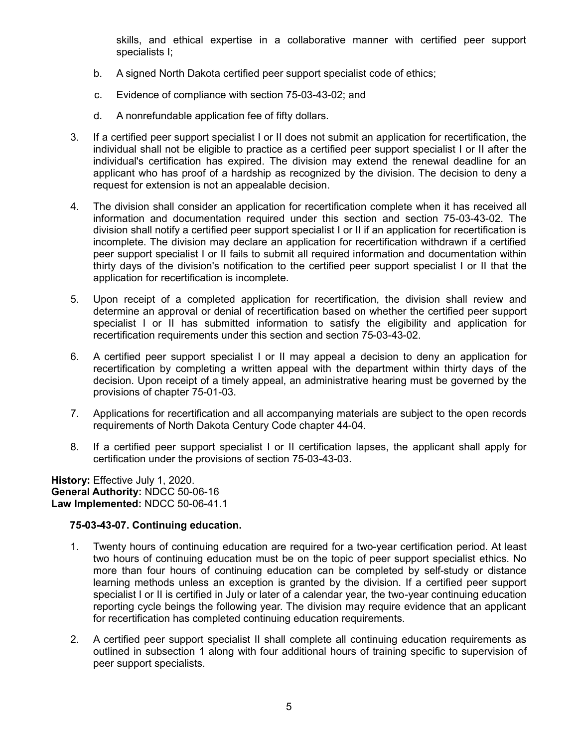skills, and ethical expertise in a collaborative manner with certified peer support specialists I;

- b. A signed North Dakota certified peer support specialist code of ethics;
- c. Evidence of compliance with section 75-03-43-02; and
- d. A nonrefundable application fee of fifty dollars.
- 3. If a certified peer support specialist I or II does not submit an application for recertification, the individual shall not be eligible to practice as a certified peer support specialist I or II after the individual's certification has expired. The division may extend the renewal deadline for an applicant who has proof of a hardship as recognized by the division. The decision to deny a request for extension is not an appealable decision.
- 4. The division shall consider an application for recertification complete when it has received all information and documentation required under this section and section 75-03-43-02. The division shall notify a certified peer support specialist I or II if an application for recertification is incomplete. The division may declare an application for recertification withdrawn if a certified peer support specialist I or II fails to submit all required information and documentation within thirty days of the division's notification to the certified peer support specialist I or II that the application for recertification is incomplete.
- 5. Upon receipt of a completed application for recertification, the division shall review and determine an approval or denial of recertification based on whether the certified peer support specialist I or II has submitted information to satisfy the eligibility and application for recertification requirements under this section and section 75-03-43-02.
- 6. A certified peer support specialist I or II may appeal a decision to deny an application for recertification by completing a written appeal with the department within thirty days of the decision. Upon receipt of a timely appeal, an administrative hearing must be governed by the provisions of chapter 75-01-03.
- 7. Applications for recertification and all accompanying materials are subject to the open records requirements of North Dakota Century Code chapter 44-04.
- 8. If a certified peer support specialist I or II certification lapses, the applicant shall apply for certification under the provisions of section 75-03-43-03.

**History:** Effective July 1, 2020. **General Authority:** NDCC 50-06-16 **Law Implemented:** NDCC 50-06-41.1

### **75-03-43-07. Continuing education.**

- 1. Twenty hours of continuing education are required for a two-year certification period. At least two hours of continuing education must be on the topic of peer support specialist ethics. No more than four hours of continuing education can be completed by self-study or distance learning methods unless an exception is granted by the division. If a certified peer support specialist I or II is certified in July or later of a calendar year, the two-year continuing education reporting cycle beings the following year. The division may require evidence that an applicant for recertification has completed continuing education requirements.
- 2. A certified peer support specialist II shall complete all continuing education requirements as outlined in subsection 1 along with four additional hours of training specific to supervision of peer support specialists.